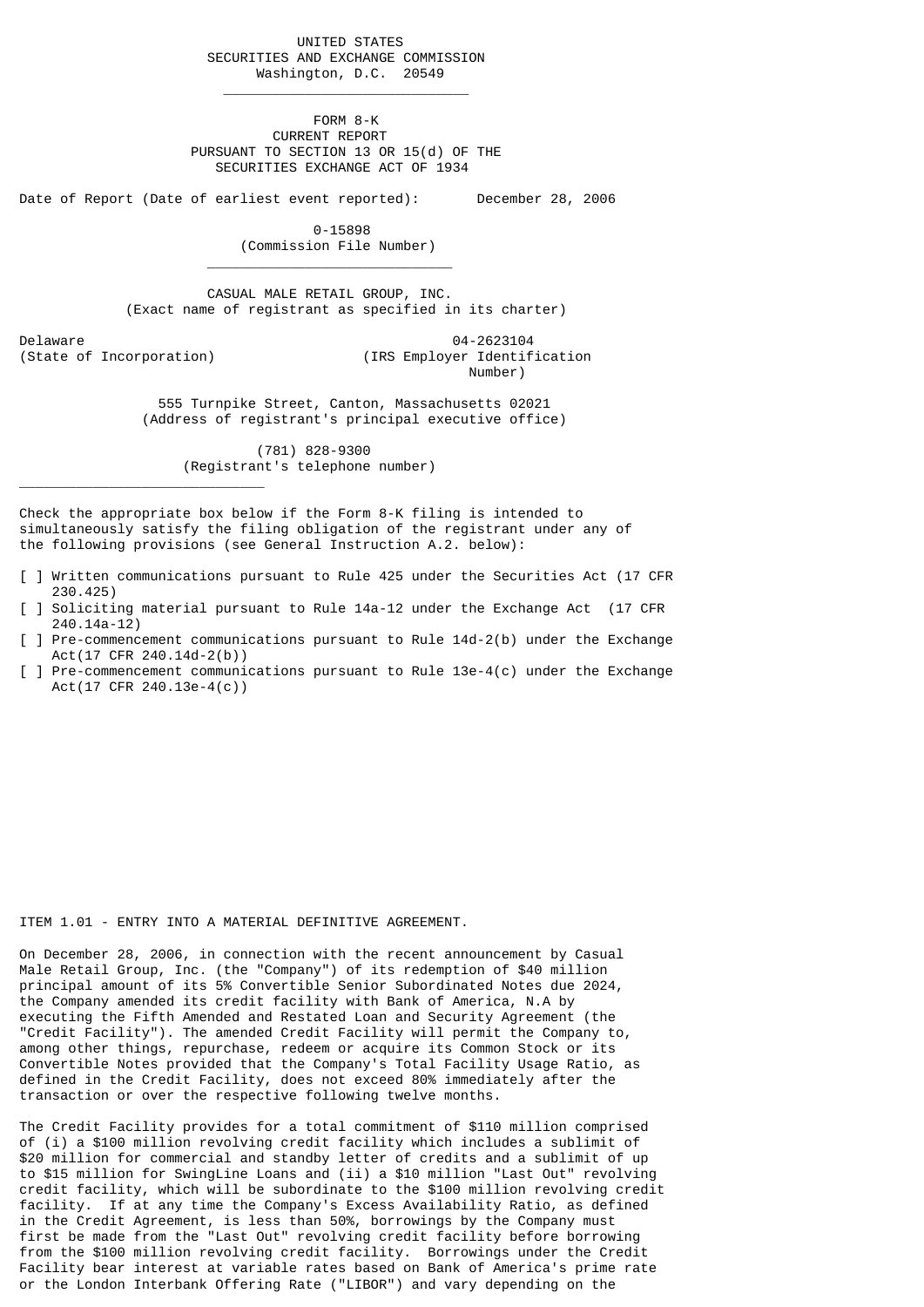UNITED STATES SECURITIES AND EXCHANGE COMMISSION Washington, D.C. 20549

 FORM 8-K CURRENT REPORT PURSUANT TO SECTION 13 OR 15(d) OF THE SECURITIES EXCHANGE ACT OF 1934

Date of Report (Date of earliest event reported): December 28, 2006

 $\mathcal{L}_\text{max}$  and  $\mathcal{L}_\text{max}$  and  $\mathcal{L}_\text{max}$  are the set of  $\mathcal{L}_\text{max}$ 

 $\mathcal{L}_\text{max}$  and  $\mathcal{L}_\text{max}$  and  $\mathcal{L}_\text{max}$  and  $\mathcal{L}_\text{max}$  and  $\mathcal{L}_\text{max}$ 

 0-15898 (Commission File Number)

 CASUAL MALE RETAIL GROUP, INC. (Exact name of registrant as specified in its charter)

Delaware 04-2623104 (IRS Employer Identification Number)

\_\_\_\_\_\_\_\_\_\_\_\_\_\_\_\_\_\_\_\_\_\_\_\_\_\_\_\_\_\_

 555 Turnpike Street, Canton, Massachusetts 02021 (Address of registrant's principal executive office)

> (781) 828-9300 (Registrant's telephone number)

Check the appropriate box below if the Form 8-K filing is intended to simultaneously satisfy the filing obligation of the registrant under any of the following provisions (see General Instruction A.2. below):

- [ ] Written communications pursuant to Rule 425 under the Securities Act (17 CFR 230.425)
- [ ] Soliciting material pursuant to Rule 14a-12 under the Exchange Act (17 CFR 240.14a-12)
- [ ] Pre-commencement communications pursuant to Rule 14d-2(b) under the Exchange Act(17 CFR 240.14d-2(b))
- [ ] Pre-commencement communications pursuant to Rule 13e-4(c) under the Exchange Act(17 CFR 240.13e-4(c))

## ITEM 1.01 - ENTRY INTO A MATERIAL DEFINITIVE AGREEMENT.

On December 28, 2006, in connection with the recent announcement by Casual Male Retail Group, Inc. (the "Company") of its redemption of \$40 million principal amount of its 5% Convertible Senior Subordinated Notes due 2024, the Company amended its credit facility with Bank of America, N.A by executing the Fifth Amended and Restated Loan and Security Agreement (the "Credit Facility"). The amended Credit Facility will permit the Company to, among other things, repurchase, redeem or acquire its Common Stock or its Convertible Notes provided that the Company's Total Facility Usage Ratio, as defined in the Credit Facility, does not exceed 80% immediately after the transaction or over the respective following twelve months.

The Credit Facility provides for a total commitment of \$110 million comprised of (i) a \$100 million revolving credit facility which includes a sublimit of \$20 million for commercial and standby letter of credits and a sublimit of up to \$15 million for SwingLine Loans and (ii) a \$10 million "Last Out" revolving credit facility, which will be subordinate to the \$100 million revolving credit facility. If at any time the Company's Excess Availability Ratio, as defined in the Credit Agreement, is less than 50%, borrowings by the Company must first be made from the "Last Out" revolving credit facility before borrowing from the \$100 million revolving credit facility. Borrowings under the Credit Facility bear interest at variable rates based on Bank of America's prime rate or the London Interbank Offering Rate ("LIBOR") and vary depending on the